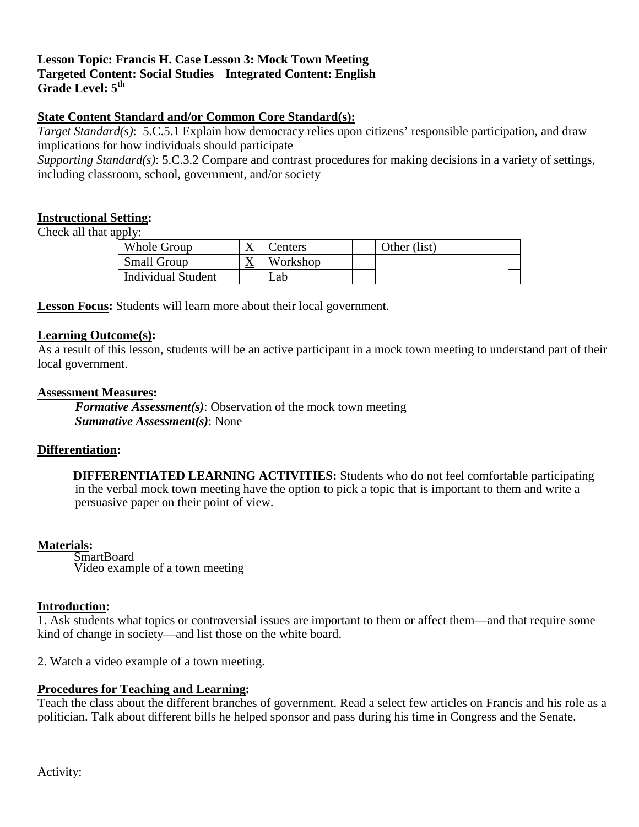## **Lesson Topic: Francis H. Case Lesson 3: Mock Town Meeting Targeted Content: Social Studies Integrated Content: English**  Grade Level:  $5<sup>th</sup>$

# **State Content Standard and/or Common Core Standard(s):**

 *Target Standard(s)*: 5.C.5.1 Explain how democracy relies upon citizens' responsible participation, and draw implications for how individuals should participate

 including classroom, school, government, and/or society *Supporting Standard(s)*: 5.C.3.2 Compare and contrast procedures for making decisions in a variety of settings,

## **Instructional Setting:**

Check all that apply:

| Whole Group               | ∡ | enters   | Other (list) |  |
|---------------------------|---|----------|--------------|--|
| <b>Small Group</b>        | △ | Workshop |              |  |
| <b>Individual Student</b> |   | _ab      |              |  |

**Lesson Focus:** Students will learn more about their local government.

#### **Learning Outcome(s):**

As a result of this lesson, students will be an active participant in a mock town meeting to understand part of their local government.

## **Assessment Measures:**

 *Formative Assessment(s)*: Observation of the mock town meeting *Summative Assessment(s)*: None

## **Differentiation:**

 in the verbal mock town meeting have the option to pick a topic that is important to them and write a **DIFFERENTIATED LEARNING ACTIVITIES:** Students who do not feel comfortable participating persuasive paper on their point of view.

#### **Materials:**

SmartBoard Video example of a town meeting

## **Introduction:**

1. Ask students what topics or controversial issues are important to them or affect them—and that require some kind of change in society—and list those on the white board.

2. Watch a video example of a town meeting.

## **Procedures for Teaching and Learning:**

 Teach the class about the different branches of government. Read a select few articles on Francis and his role as a politician. Talk about different bills he helped sponsor and pass during his time in Congress and the Senate.

Activity: